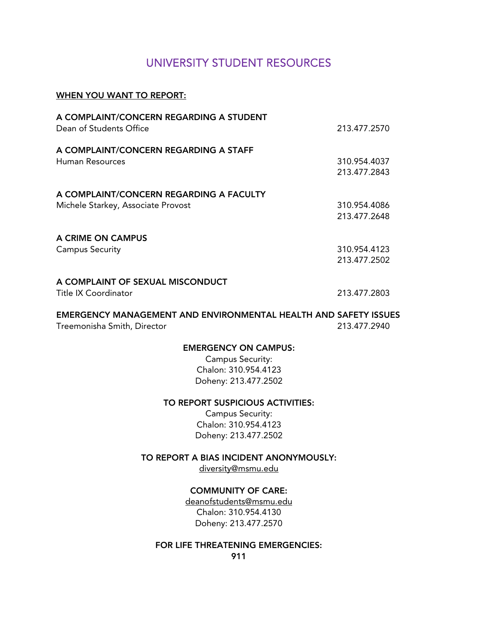# UNIVERSITY STUDENT RESOURCES

#### WHEN YOU WANT TO REPORT:

| A COMPLAINT/CONCERN REGARDING A STUDENT<br>Dean of Students Office                                    | 213.477.2570                 |
|-------------------------------------------------------------------------------------------------------|------------------------------|
| A COMPLAINT/CONCERN REGARDING A STAFF<br><b>Human Resources</b>                                       | 310.954.4037<br>213.477.2843 |
| A COMPLAINT/CONCERN REGARDING A FACULTY                                                               |                              |
| Michele Starkey, Associate Provost                                                                    | 310.954.4086<br>213.477.2648 |
| A CRIME ON CAMPUS                                                                                     |                              |
| <b>Campus Security</b>                                                                                | 310.954.4123<br>213.477.2502 |
| A COMPLAINT OF SEXUAL MISCONDUCT                                                                      |                              |
| <b>Title IX Coordinator</b>                                                                           | 213.477.2803                 |
| <b>EMERGENCY MANAGEMENT AND ENVIRONMENTAL HEALTH AND SAFETY ISSUES</b><br>Treemonisha Smith, Director | 213.477.2940                 |
| <b>EMERGENCY ON CAMPUS:</b><br>Campus Security:                                                       |                              |
| Chalon: 310.954.4123                                                                                  |                              |
| Doheny: 213.477.2502                                                                                  |                              |
| TO REPORT SUSPICIOUS ACTIVITIES:                                                                      |                              |
| Campus Security:                                                                                      |                              |

Campus Security: Chalon: 310.954.4123 Doheny: 213.477.2502

TO REPORT A BIAS INCIDENT ANONYMOUSLY:

diversity@msmu.edu

## COMMUNITY OF CARE:

[deanofstudents@msmu.edu](mailto:deanofstudentlife@msmu.edu) Chalon: 310.954.4130 Doheny: 213.477.2570

## FOR LIFE THREATENING EMERGENCIES: